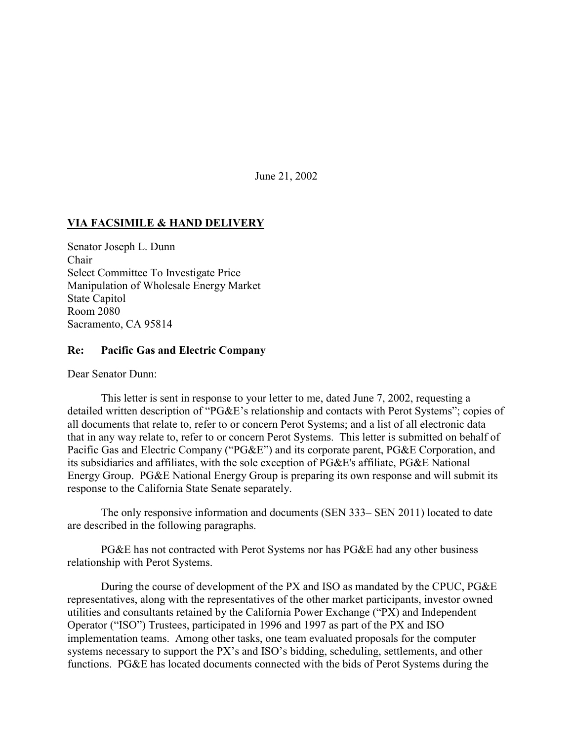June 21, 2002

## **VIA FACSIMILE & HAND DELIVERY**

Senator Joseph L. Dunn Chair Select Committee To Investigate Price Manipulation of Wholesale Energy Market State Capitol Room 2080 Sacramento, CA 95814

## **Re: Pacific Gas and Electric Company**

Dear Senator Dunn:

This letter is sent in response to your letter to me, dated June 7, 2002, requesting a detailed written description of "PG&E's relationship and contacts with Perot Systems"; copies of all documents that relate to, refer to or concern Perot Systems; and a list of all electronic data that in any way relate to, refer to or concern Perot Systems. This letter is submitted on behalf of Pacific Gas and Electric Company ("PG&E") and its corporate parent, PG&E Corporation, and its subsidiaries and affiliates, with the sole exception of PG&E's affiliate, PG&E National Energy Group. PG&E National Energy Group is preparing its own response and will submit its response to the California State Senate separately.

The only responsive information and documents (SEN 333– SEN 2011) located to date are described in the following paragraphs.

PG&E has not contracted with Perot Systems nor has PG&E had any other business relationship with Perot Systems.

During the course of development of the PX and ISO as mandated by the CPUC, PG&E representatives, along with the representatives of the other market participants, investor owned utilities and consultants retained by the California Power Exchange ("PX) and Independent Operator ("ISO") Trustees, participated in 1996 and 1997 as part of the PX and ISO implementation teams. Among other tasks, one team evaluated proposals for the computer systems necessary to support the PX's and ISO's bidding, scheduling, settlements, and other functions. PG&E has located documents connected with the bids of Perot Systems during the